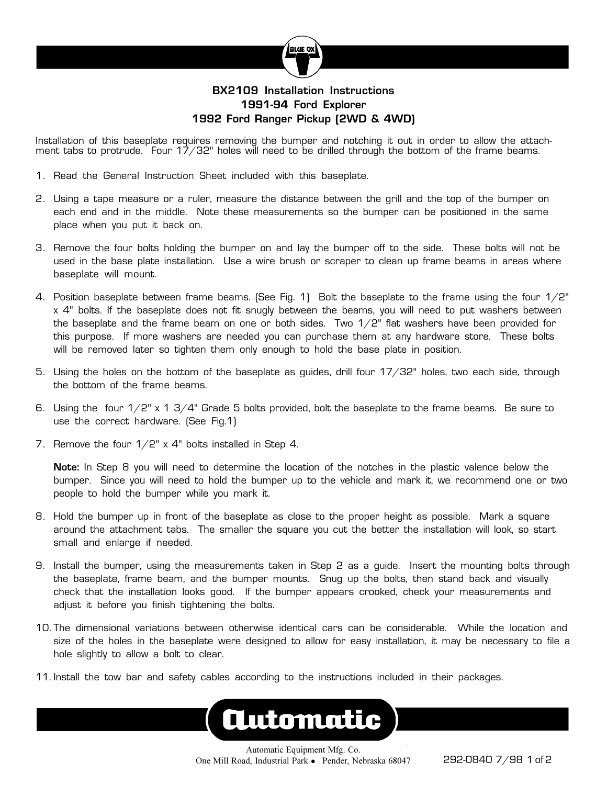

## **BX2109 Installation Instructions 1991-94 Ford Explorer 1992 Ford Ranger Pickup (2WD & 4WD)**

Installation of this baseplate requires removing the bumper and notching it out in order to allow the attachment tabs to protrude. Four 17/32" holes will need to be drilled through the bottom of the frame beams.

- 1. Read the General Instruction Sheet included with this baseplate.
- 2. Using a tape measure or a ruler, measure the distance between the grill and the top of the bumper on each end and in the middle. Note these measurements so the bumper can be positioned in the same place when you put it back on.
- 3. Remove the four bolts holding the bumper on and lay the bumper off to the side. These bolts will not be used in the base plate installation. Use a wire brush or scraper to clean up frame beams in areas where baseplate will mount.
- 4. Position baseplate between frame beams. (See Fig. 1) Bolt the baseplate to the frame using the four 1/2" x 4" bolts. If the baseplate does not fit snugly between the beams, you will need to put washers between the baseplate and the frame beam on one or both sides. Two  $1/2$ " flat washers have been provided for this purpose. If more washers are needed you can purchase them at any hardware store. These bolts will be removed later so tighten them only enough to hold the base plate in position.
- 5. Using the holes on the bottom of the baseplate as guides, drill four 17/32" holes, two each side, through the bottom of the frame beams.
- 6. Using the four  $1/2$ " x 1 3/4" Grade 5 bolts provided, bolt the baseplate to the frame beams. Be sure to use the correct hardware. (See Fig.1)
- 7. Remove the four  $1/2$ " x 4" bolts installed in Step 4.

**Note:** In Step 8 you will need to determine the location of the notches in the plastic valence below the bumper. Since you will need to hold the bumper up to the vehicle and mark it, we recommend one or two people to hold the bumper while you mark it.

- 8. Hold the bumper up in front of the baseplate as close to the proper height as possible. Mark a square around the attachment tabs. The smaller the square you cut the better the installation will look, so start small and enlarge if needed.
- 9. Install the bumper, using the measurements taken in Step 2 as a guide. Insert the mounting bolts through the baseplate, frame beam, and the bumper mounts. Snug up the bolts, then stand back and visually check that the installation looks good. If the bumper appears crooked, check your measurements and adjust it before you finish tightening the bolts.
- 10. The dimensional variations between otherwise identical cars can be considerable. While the location and size of the holes in the baseplate were designed to allow for easy installation, it may be necessary to file a hole slightly to allow a bolt to clear.
- 11. Install the tow bar and safety cables according to the instructions included in their packages.